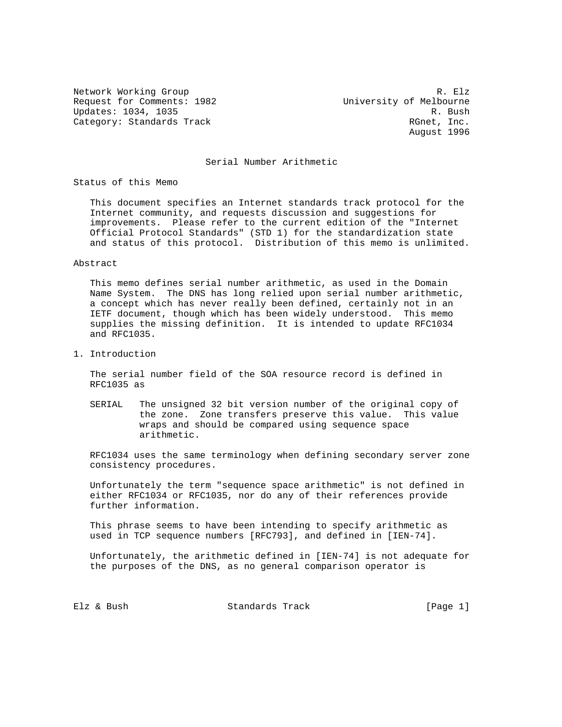Request for Comments: 1982 University of Melbourne Updates: 1034, 1035 R. Bush Category: Standards Track and the control of the RGnet, Inc.

Network Working Group and the set of the set of the set of the set of the set of the set of the set of the set of the set of the set of the set of the set of the set of the set of the set of the set of the set of the set o August 1996

## Serial Number Arithmetic

Status of this Memo

 This document specifies an Internet standards track protocol for the Internet community, and requests discussion and suggestions for improvements. Please refer to the current edition of the "Internet Official Protocol Standards" (STD 1) for the standardization state and status of this protocol. Distribution of this memo is unlimited.

#### Abstract

 This memo defines serial number arithmetic, as used in the Domain Name System. The DNS has long relied upon serial number arithmetic, a concept which has never really been defined, certainly not in an IETF document, though which has been widely understood. This memo supplies the missing definition. It is intended to update RFC1034 and RFC1035.

1. Introduction

 The serial number field of the SOA resource record is defined in RFC1035 as

 SERIAL The unsigned 32 bit version number of the original copy of the zone. Zone transfers preserve this value. This value wraps and should be compared using sequence space arithmetic.

 RFC1034 uses the same terminology when defining secondary server zone consistency procedures.

 Unfortunately the term "sequence space arithmetic" is not defined in either RFC1034 or RFC1035, nor do any of their references provide further information.

 This phrase seems to have been intending to specify arithmetic as used in TCP sequence numbers [RFC793], and defined in [IEN-74].

 Unfortunately, the arithmetic defined in [IEN-74] is not adequate for the purposes of the DNS, as no general comparison operator is

Elz & Bush Standards Track [Page 1]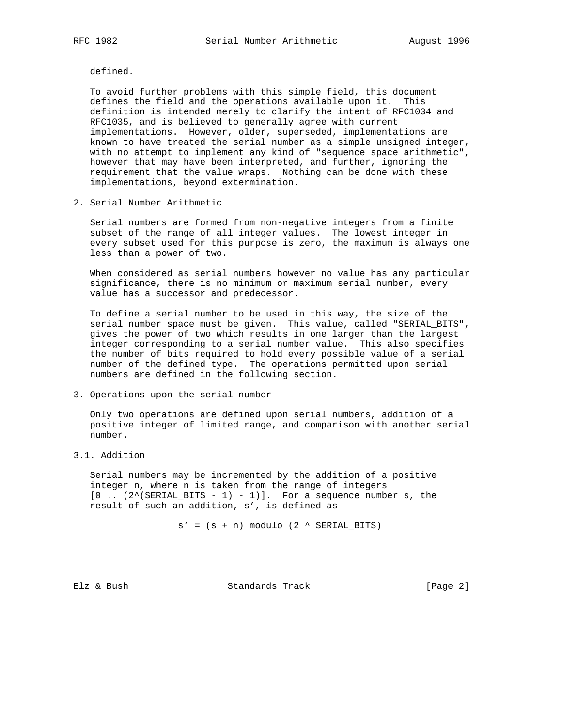defined.

 To avoid further problems with this simple field, this document defines the field and the operations available upon it. This definition is intended merely to clarify the intent of RFC1034 and RFC1035, and is believed to generally agree with current implementations. However, older, superseded, implementations are known to have treated the serial number as a simple unsigned integer, with no attempt to implement any kind of "sequence space arithmetic", however that may have been interpreted, and further, ignoring the requirement that the value wraps. Nothing can be done with these implementations, beyond extermination.

2. Serial Number Arithmetic

 Serial numbers are formed from non-negative integers from a finite subset of the range of all integer values. The lowest integer in every subset used for this purpose is zero, the maximum is always one less than a power of two.

 When considered as serial numbers however no value has any particular significance, there is no minimum or maximum serial number, every value has a successor and predecessor.

 To define a serial number to be used in this way, the size of the serial number space must be given. This value, called "SERIAL\_BITS", gives the power of two which results in one larger than the largest integer corresponding to a serial number value. This also specifies the number of bits required to hold every possible value of a serial number of the defined type. The operations permitted upon serial numbers are defined in the following section.

3. Operations upon the serial number

 Only two operations are defined upon serial numbers, addition of a positive integer of limited range, and comparison with another serial number.

3.1. Addition

 Serial numbers may be incremented by the addition of a positive integer n, where n is taken from the range of integers  $[0$  ..  $(2^{\wedge}(\text{SERIAL\_BITS - 1) - 1})$ . For a sequence number s, the result of such an addition, s', is defined as

 $s' = (s + n)$  modulo  $(2 \land \text{SERIAL\_BITS})$ 

Elz & Bush Standards Track [Page 2]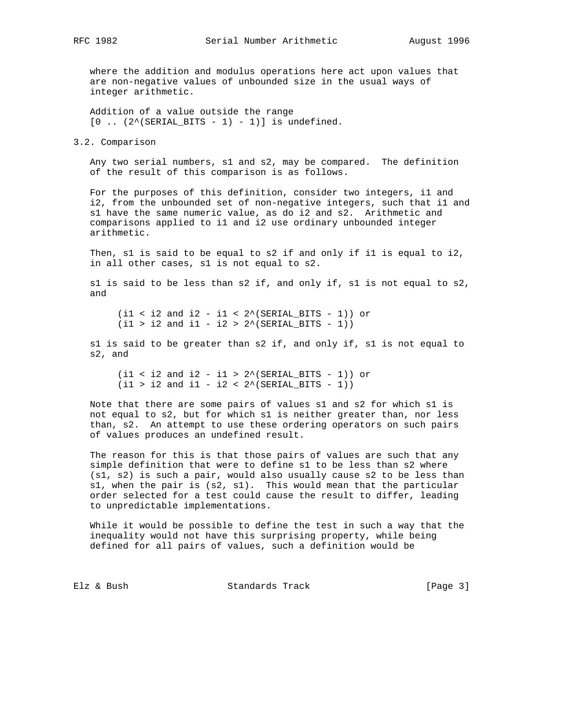where the addition and modulus operations here act upon values that are non-negative values of unbounded size in the usual ways of integer arithmetic.

 Addition of a value outside the range  $[0 \dots (2^{\wedge}(\text{SERIAL\_BITS - 1) - 1})]$  is undefined.

3.2. Comparison

 Any two serial numbers, s1 and s2, may be compared. The definition of the result of this comparison is as follows.

 For the purposes of this definition, consider two integers, i1 and i2, from the unbounded set of non-negative integers, such that i1 and s1 have the same numeric value, as do i2 and s2. Arithmetic and comparisons applied to i1 and i2 use ordinary unbounded integer arithmetic.

 Then, s1 is said to be equal to s2 if and only if i1 is equal to i2, in all other cases, s1 is not equal to s2.

 s1 is said to be less than s2 if, and only if, s1 is not equal to s2, and

 $(i1 < i2$  and  $i2 - i1 < 2^*(SERIAL_BITS - 1))$  or  $(i1 > i2$  and  $i1 - i2 > 2^*(SERIAL_BITS - 1))$ 

 s1 is said to be greater than s2 if, and only if, s1 is not equal to s2, and

 $(i1 < i2$  and  $i2 - i1 > 2^*(SERIAL_BITS - 1))$  or  $(i1 > i2$  and  $i1 - i2 < 2^*(\text{SERIAL\_BITS} - 1))$ 

 Note that there are some pairs of values s1 and s2 for which s1 is not equal to s2, but for which s1 is neither greater than, nor less than, s2. An attempt to use these ordering operators on such pairs of values produces an undefined result.

 The reason for this is that those pairs of values are such that any simple definition that were to define s1 to be less than s2 where (s1, s2) is such a pair, would also usually cause s2 to be less than s1, when the pair is (s2, s1). This would mean that the particular order selected for a test could cause the result to differ, leading to unpredictable implementations.

 While it would be possible to define the test in such a way that the inequality would not have this surprising property, while being defined for all pairs of values, such a definition would be

Elz & Bush Standards Track [Page 3]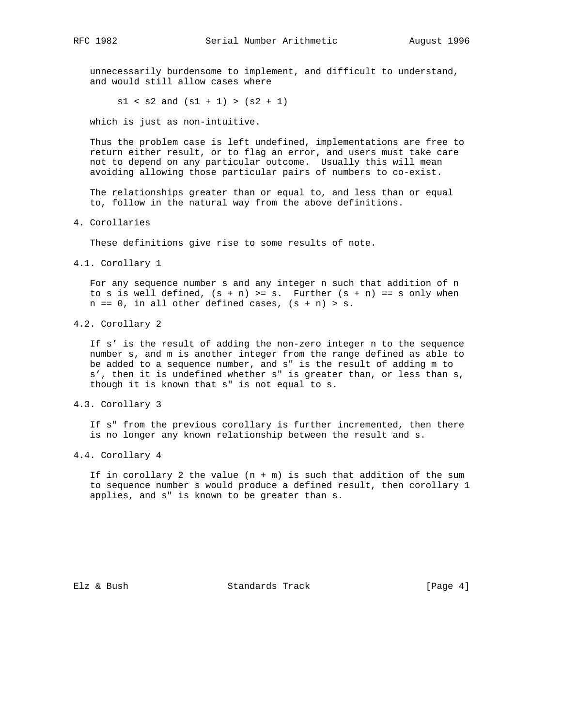unnecessarily burdensome to implement, and difficult to understand, and would still allow cases where

 $s1 < s2$  and  $(s1 + 1) > (s2 + 1)$ 

which is just as non-intuitive.

 Thus the problem case is left undefined, implementations are free to return either result, or to flag an error, and users must take care not to depend on any particular outcome. Usually this will mean avoiding allowing those particular pairs of numbers to co-exist.

 The relationships greater than or equal to, and less than or equal to, follow in the natural way from the above definitions.

4. Corollaries

These definitions give rise to some results of note.

4.1. Corollary 1

 For any sequence number s and any integer n such that addition of n to s is well defined,  $(s + n)$  >= s. Further  $(s + n)$  == s only when  $n == 0$ , in all other defined cases,  $(s + n) > s$ .

4.2. Corollary 2

 If s' is the result of adding the non-zero integer n to the sequence number s, and m is another integer from the range defined as able to be added to a sequence number, and s" is the result of adding m to s', then it is undefined whether s" is greater than, or less than s, though it is known that s" is not equal to s.

4.3. Corollary 3

 If s" from the previous corollary is further incremented, then there is no longer any known relationship between the result and s.

4.4. Corollary 4

If in corollary 2 the value  $(n + m)$  is such that addition of the sum to sequence number s would produce a defined result, then corollary 1 applies, and s" is known to be greater than s.

Elz & Bush Standards Track [Page 4]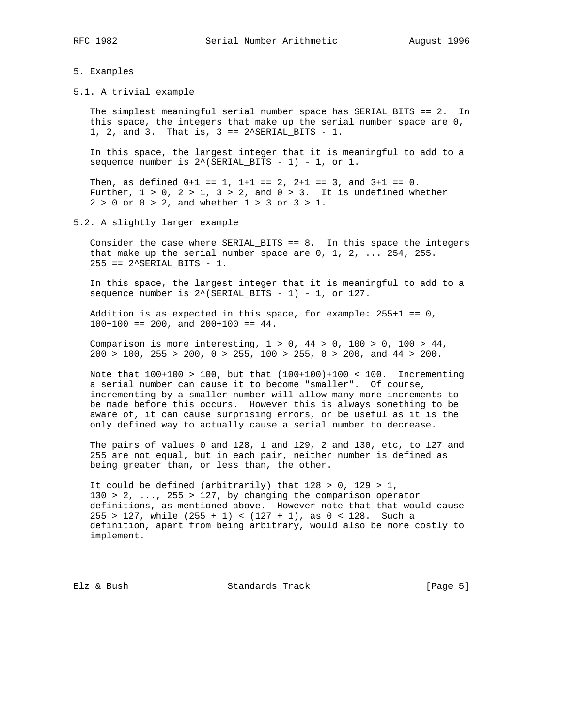### 5. Examples

5.1. A trivial example

 The simplest meaningful serial number space has SERIAL\_BITS == 2. In this space, the integers that make up the serial number space are 0, 1, 2, and 3. That is,  $3 == 2$ <sup>^</sup>SERIAL\_BITS - 1.

 In this space, the largest integer that it is meaningful to add to a sequence number is  $2^{\wedge}$  (SERIAL\_BITS - 1) - 1, or 1.

Then, as defined  $0+1 == 1$ ,  $1+1 == 2$ ,  $2+1 == 3$ , and  $3+1 == 0$ . Further,  $1 > 0$ ,  $2 > 1$ ,  $3 > 2$ , and  $0 > 3$ . It is undefined whether  $2 > 0$  or  $0 > 2$ , and whether  $1 > 3$  or  $3 > 1$ .

5.2. A slightly larger example

Consider the case where SERIAL\_BITS ==  $8$ . In this space the integers that make up the serial number space are 0, 1, 2, ... 254, 255.  $255 == 2$ ^SERIAL\_BITS - 1.

 In this space, the largest integer that it is meaningful to add to a sequence number is  $2^*(SERIAL_BITS - 1) - 1$ , or 127.

Addition is as expected in this space, for example:  $255+1 == 0$ ,  $100+100 == 200$ , and  $200+100 == 44$ .

Comparison is more interesting,  $1 > 0$ ,  $44 > 0$ ,  $100 > 0$ ,  $100 > 44$ , 200 > 100, 255 > 200, 0 > 255, 100 > 255, 0 > 200, and 44 > 200.

 Note that 100+100 > 100, but that (100+100)+100 < 100. Incrementing a serial number can cause it to become "smaller". Of course, incrementing by a smaller number will allow many more increments to be made before this occurs. However this is always something to be aware of, it can cause surprising errors, or be useful as it is the only defined way to actually cause a serial number to decrease.

 The pairs of values 0 and 128, 1 and 129, 2 and 130, etc, to 127 and 255 are not equal, but in each pair, neither number is defined as being greater than, or less than, the other.

It could be defined (arbitrarily) that  $128 > 0$ ,  $129 > 1$ ,  $130 > 2, \ldots$ ,  $255 > 127$ , by changing the comparison operator definitions, as mentioned above. However note that that would cause  $255 > 127$ , while  $(255 + 1) < (127 + 1)$ , as  $0 < 128$ . Such a definition, apart from being arbitrary, would also be more costly to implement.

Elz & Bush Standards Track [Page 5]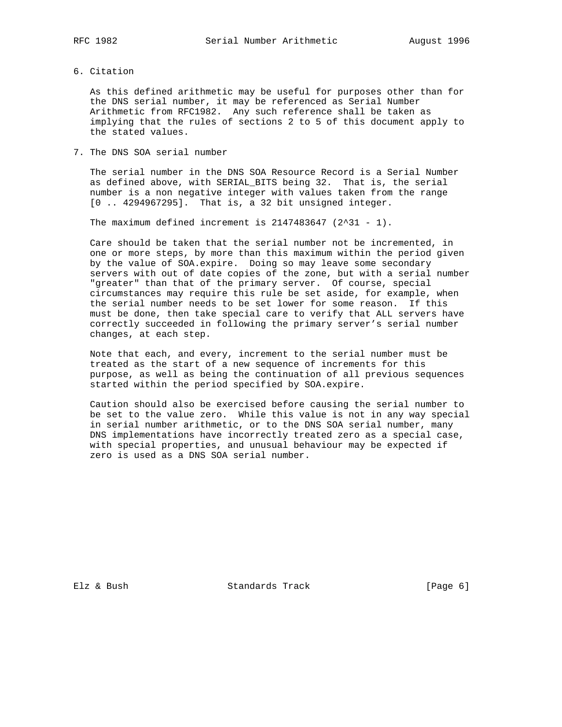6. Citation

 As this defined arithmetic may be useful for purposes other than for the DNS serial number, it may be referenced as Serial Number Arithmetic from RFC1982. Any such reference shall be taken as implying that the rules of sections 2 to 5 of this document apply to the stated values.

7. The DNS SOA serial number

 The serial number in the DNS SOA Resource Record is a Serial Number as defined above, with SERIAL\_BITS being 32. That is, the serial number is a non negative integer with values taken from the range [0 .. 4294967295]. That is, a 32 bit unsigned integer.

The maximum defined increment is  $2147483647$  ( $2^31 - 1$ ).

 Care should be taken that the serial number not be incremented, in one or more steps, by more than this maximum within the period given by the value of SOA.expire. Doing so may leave some secondary servers with out of date copies of the zone, but with a serial number "greater" than that of the primary server. Of course, special circumstances may require this rule be set aside, for example, when the serial number needs to be set lower for some reason. If this must be done, then take special care to verify that ALL servers have correctly succeeded in following the primary server's serial number changes, at each step.

 Note that each, and every, increment to the serial number must be treated as the start of a new sequence of increments for this purpose, as well as being the continuation of all previous sequences started within the period specified by SOA.expire.

 Caution should also be exercised before causing the serial number to be set to the value zero. While this value is not in any way special in serial number arithmetic, or to the DNS SOA serial number, many DNS implementations have incorrectly treated zero as a special case, with special properties, and unusual behaviour may be expected if zero is used as a DNS SOA serial number.

Elz & Bush Standards Track [Page 6]